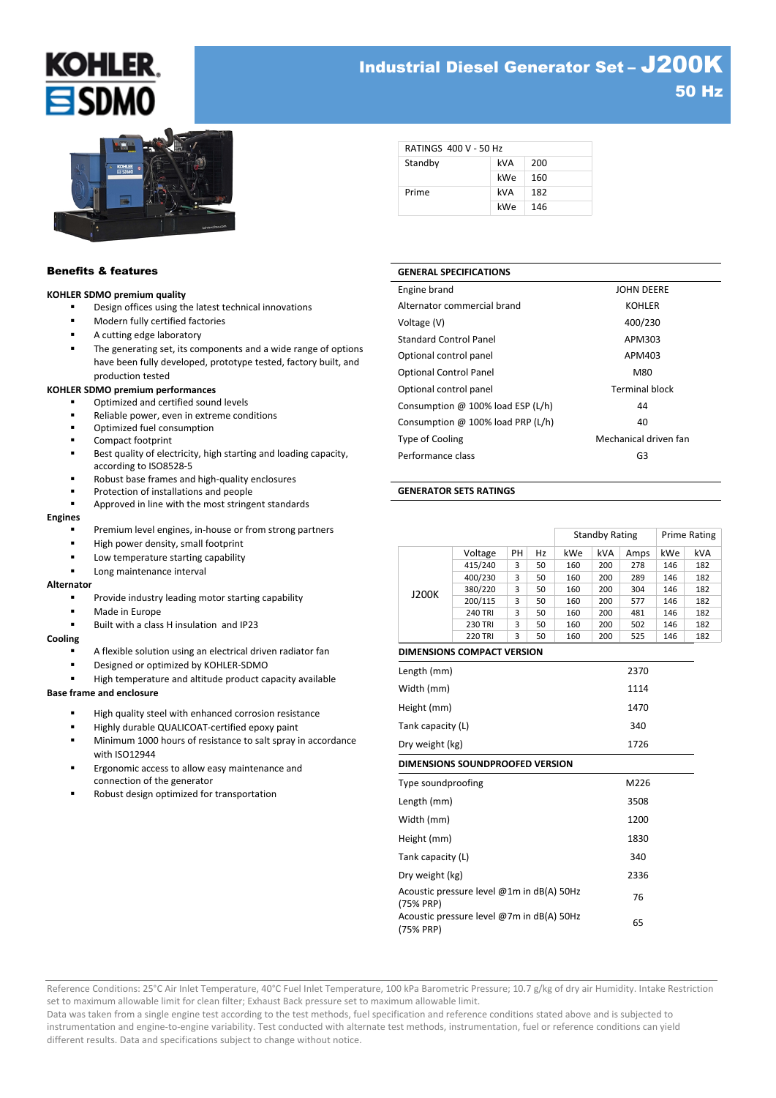# **KOHLER** ESDN

# Industrial Diesel Generator Set – J200K 50 Hz



### Benefits & features

#### **KOHLER SDMO premium quality**

- Design offices using the latest technical innovations
- Modern fully certified factories
- A cutting edge laboratory
- The generating set, its components and a wide range of options have been fully developed, prototype tested, factory built, and production tested

#### **KOHLER SDMO premium performances**

- Optimized and certified sound levels
- Reliable power, even in extreme conditions
- Optimized fuel consumption
- Compact footprint
- Best quality of electricity, high starting and loading capacity, according to ISO8528-5
- Robust base frames and high-quality enclosures
- Protection of installations and people
- Approved in line with the most stringent standards

#### **Engines**

- Premium level engines, in-house or from strong partners
- High power density, small footprint
- Low temperature starting capability
- Long maintenance interval

#### **Alternator**

- Provide industry leading motor starting capability
- Made in Europe
- Built with a class H insulation and IP23

#### **Cooling**

- A flexible solution using an electrical driven radiator fan
- Designed or optimized by KOHLER-SDMO
- High temperature and altitude product capacity available

# **Base frame and enclosure**

- High quality steel with enhanced corrosion resistance
- Highly durable QUALICOAT-certified epoxy paint
- Minimum 1000 hours of resistance to salt spray in accordance with ISO12944
- Ergonomic access to allow easy maintenance and connection of the generator
- Robust design optimized for transportation

| <b>RATINGS 400 V - 50 Hz</b> |     |     |
|------------------------------|-----|-----|
| Standby                      | kVA | 200 |
|                              | kWe | 160 |
| Prime                        | kVA | 182 |
|                              | kWe | 146 |

# **GENERAL SPECIFICATIONS**

| Engine brand                      | <b>JOHN DEERE</b>     |
|-----------------------------------|-----------------------|
| Alternator commercial brand       | <b>KOHLER</b>         |
| Voltage (V)                       | 400/230               |
| <b>Standard Control Panel</b>     | APM303                |
| Optional control panel            | APM403                |
| <b>Optional Control Panel</b>     | M80                   |
| Optional control panel            | <b>Terminal block</b> |
| Consumption @ 100% load ESP (L/h) | 44                    |
| Consumption @ 100% load PRP (L/h) | 40                    |
| Type of Cooling                   | Mechanical driven fan |
| Performance class                 | G3                    |

#### **GENERATOR SETS RATINGS**

|                                                        |                |    |    | <b>Standby Rating</b> |            |      | <b>Prime Rating</b> |     |  |
|--------------------------------------------------------|----------------|----|----|-----------------------|------------|------|---------------------|-----|--|
|                                                        | Voltage        | PH | Hz | kWe                   | <b>kVA</b> | Amps | kWe                 | kVA |  |
|                                                        | 415/240        | 3  | 50 | 160                   | 200        | 278  | 146                 | 182 |  |
|                                                        | 400/230        | 3  | 50 | 160                   | 200        | 289  | 146                 | 182 |  |
| J200K                                                  | 380/220        | 3  | 50 | 160                   | 200        | 304  | 146                 | 182 |  |
|                                                        | 200/115        | 3  | 50 | 160                   | 200        | 577  | 146                 | 182 |  |
|                                                        | <b>240 TRI</b> | 3  | 50 | 160                   | 200        | 481  | 146                 | 182 |  |
|                                                        | <b>230 TRI</b> | 3  | 50 | 160                   | 200        | 502  | 146                 | 182 |  |
|                                                        | <b>220 TRI</b> | 3  | 50 | 160                   | 200        | 525  | 146                 | 182 |  |
| <b>DIMENSIONS COMPACT VERSION</b>                      |                |    |    |                       |            |      |                     |     |  |
| Length (mm)                                            |                |    |    |                       |            | 2370 |                     |     |  |
| Width (mm)                                             |                |    |    | 1114                  |            |      |                     |     |  |
| Height (mm)                                            |                |    |    | 1470                  |            |      |                     |     |  |
| Tank capacity (L)                                      |                |    |    | 340                   |            |      |                     |     |  |
| Dry weight (kg)                                        |                |    |    | 1726                  |            |      |                     |     |  |
| DIMENSIONS SOUNDPROOFED VERSION                        |                |    |    |                       |            |      |                     |     |  |
| Type soundproofing<br>M226                             |                |    |    |                       |            |      |                     |     |  |
| Length (mm)                                            |                |    |    | 3508                  |            |      |                     |     |  |
| Width (mm)                                             |                |    |    | 1200                  |            |      |                     |     |  |
| Height (mm)                                            | 1830           |    |    |                       |            |      |                     |     |  |
| Tank capacity (L)<br>340                               |                |    |    |                       |            |      |                     |     |  |
| Dry weight (kg)                                        |                |    |    |                       | 2336       |      |                     |     |  |
| Acoustic pressure level @1m in dB(A) 50Hz<br>(75% PRP) |                |    |    |                       | 76         |      |                     |     |  |
| Acoustic pressure level @7m in dB(A) 50Hz<br>(75% PRP) |                |    |    |                       | 65         |      |                     |     |  |

Reference Conditions: 25°C Air Inlet Temperature, 40°C Fuel Inlet Temperature, 100 kPa Barometric Pressure; 10.7 g/kg of dry air Humidity. Intake Restriction set to maximum allowable limit for clean filter; Exhaust Back pressure set to maximum allowable limit.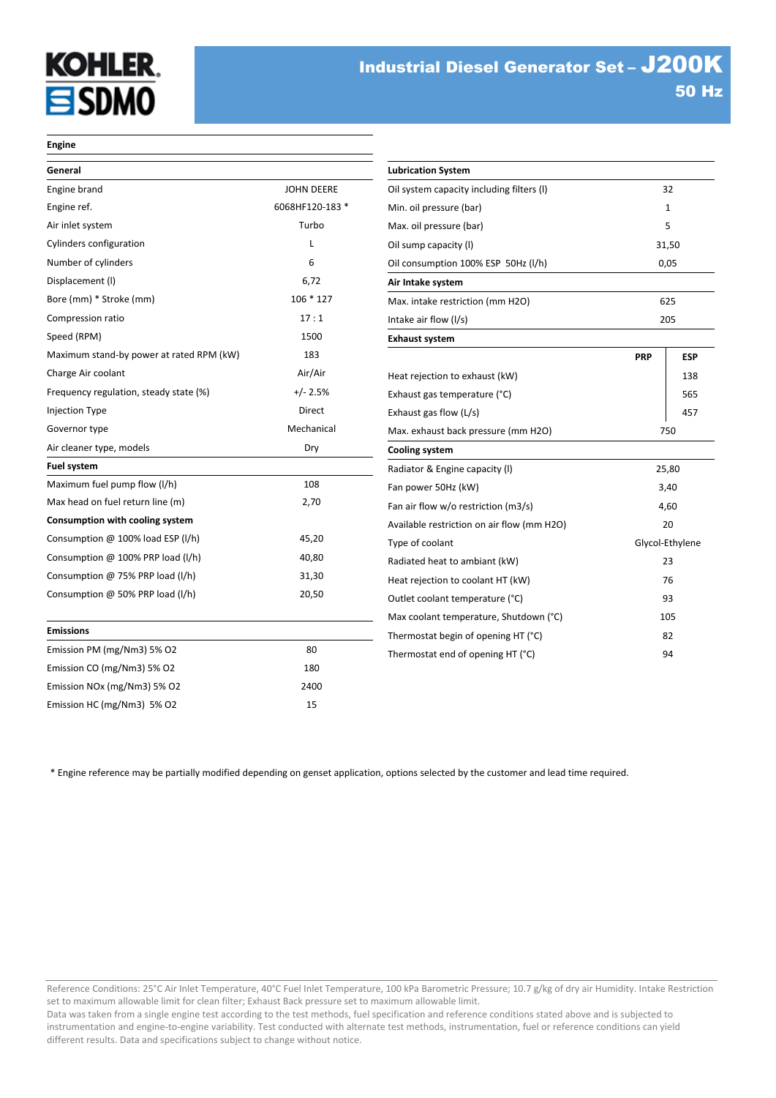# **KOHLER. SDMO**

Glycol-Ethylene

#### **Engine**

| General                                  |                   | <b>Lubrication System</b>                  |                |            |
|------------------------------------------|-------------------|--------------------------------------------|----------------|------------|
| Engine brand                             | <b>JOHN DEERE</b> | Oil system capacity including filters (I)  |                | 32         |
| Engine ref.                              | 6068HF120-183 *   | Min. oil pressure (bar)                    | $\mathbf{1}$   |            |
| Air inlet system                         | Turbo             | Max. oil pressure (bar)                    |                | 5          |
| Cylinders configuration                  | L                 | Oil sump capacity (I)                      |                | 31,50      |
| Number of cylinders                      | 6                 | Oil consumption 100% ESP 50Hz (I/h)        |                | 0,05       |
| Displacement (I)                         | 6,72              | Air Intake system                          |                |            |
| Bore (mm) * Stroke (mm)                  | $106 * 127$       | Max. intake restriction (mm H2O)           |                | 625        |
| Compression ratio                        | 17:1              | Intake air flow (I/s)                      |                | 205        |
| Speed (RPM)                              | 1500              | <b>Exhaust system</b>                      |                |            |
| Maximum stand-by power at rated RPM (kW) | 183               |                                            | <b>PRP</b>     | <b>ESP</b> |
| Charge Air coolant                       | Air/Air           | Heat rejection to exhaust (kW)             |                | 138        |
| Frequency regulation, steady state (%)   | $+/- 2.5%$        | Exhaust gas temperature (°C)               |                | 565        |
| Injection Type                           | Direct            | Exhaust gas flow (L/s)                     |                | 457        |
| Governor type                            | Mechanical        | Max. exhaust back pressure (mm H2O)        |                | 750        |
| Air cleaner type, models                 | Dry               | <b>Cooling system</b>                      |                |            |
| Fuel system                              |                   | Radiator & Engine capacity (I)             |                | 25,80      |
| Maximum fuel pump flow (I/h)             | 108               | Fan power 50Hz (kW)                        |                | 3,40       |
| Max head on fuel return line (m)         | 2,70              | Fan air flow w/o restriction (m3/s)        |                | 4,60       |
| Consumption with cooling system          |                   | Available restriction on air flow (mm H2O) |                | 20         |
| Consumption @ 100% load ESP (I/h)        | 45,20             | Type of coolant                            | Glycol-Ethylen |            |
| Consumption @ 100% PRP load (I/h)        | 40,80             | Radiated heat to ambiant (kW)              |                | 23         |
| Consumption @ 75% PRP load (I/h)         | 31,30             | Heat rejection to coolant HT (kW)          |                | 76         |
| Consumption @ 50% PRP load (I/h)         | 20,50             | Outlet coolant temperature (°C)            |                | 93         |
|                                          |                   | Max coolant temperature, Shutdown (°C)     |                | 105        |
| <b>Emissions</b>                         |                   | Thermostat begin of opening HT (°C)        |                | 82         |
| Emission PM (mg/Nm3) 5% O2               | 80                | Thermostat end of opening HT (°C)          |                | 94         |
| Emission CO (mg/Nm3) 5% O2               | 180               |                                            |                |            |
| Emission NOx (mg/Nm3) 5% O2              | 2400              |                                            |                |            |
| Emission HC (mg/Nm3) 5% O2               | 15                |                                            |                |            |

\* Engine reference may be partially modified depending on genset application, options selected by the customer and lead time required.

Reference Conditions: 25°C Air Inlet Temperature, 40°C Fuel Inlet Temperature, 100 kPa Barometric Pressure; 10.7 g/kg of dry air Humidity. Intake Restriction set to maximum allowable limit for clean filter; Exhaust Back pressure set to maximum allowable limit.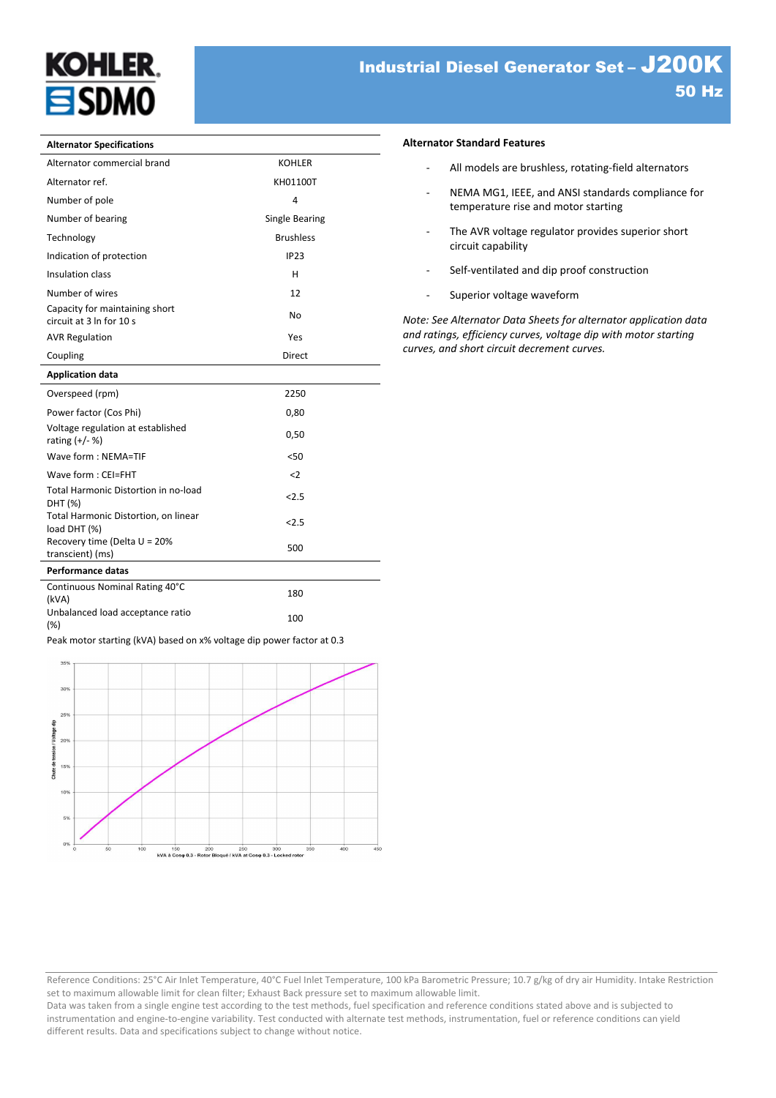

#### **Alternator Specifications**

| Alternator Specifications                                  |                  |
|------------------------------------------------------------|------------------|
| Alternator commercial brand                                | <b>KOHLER</b>    |
| Alternator ref.                                            | KH01100T         |
| Number of pole                                             | 4                |
| Number of bearing                                          | Single Bearing   |
| Technology                                                 | <b>Brushless</b> |
| Indication of protection                                   | IP23             |
| Insulation class                                           | н                |
| Number of wires                                            | 12               |
| Capacity for maintaining short<br>circuit at 3 In for 10 s | <b>No</b>        |
| <b>AVR Regulation</b>                                      | Yes              |
| Coupling                                                   | <b>Direct</b>    |
| <b>Application data</b>                                    |                  |
| Overspeed (rpm)                                            | 2250             |
| Power factor (Cos Phi)                                     | 0,80             |
| Voltage regulation at established<br>rating $(+/- %)$      | 0,50             |
| Wave form: NEMA=TIF                                        | < 50             |
| Wave form: CEI=FHT                                         | $2$              |
| Total Harmonic Distortion in no-load<br>DHT (%)            | 2.5              |
| Total Harmonic Distortion, on linear<br>load DHT (%)       | < 2.5            |

# **Performance datas**

Recovery time (Delta U = 20%

| Continuous Nominal Rating 40°C<br>(kVA) | 180 |
|-----------------------------------------|-----|
| Unbalanced load acceptance ratio<br>(%) | 100 |

Recovery time (Deita  $0 = 20\%$  500 transcient) (ms)

Peak motor starting (kVA) based on x% voltage dip power factor at 0.3



#### **Alternator Standard Features**

- All models are brushless, rotating-field alternators
- NEMA MG1, IEEE, and ANSI standards compliance for temperature rise and motor starting
- The AVR voltage regulator provides superior short circuit capability
- Self-ventilated and dip proof construction
- Superior voltage waveform

*Note: See Alternator Data Sheets for alternator application data and ratings, efficiency curves, voltage dip with motor starting curves, and short circuit decrement curves.*

Reference Conditions: 25°C Air Inlet Temperature, 40°C Fuel Inlet Temperature, 100 kPa Barometric Pressure; 10.7 g/kg of dry air Humidity. Intake Restriction set to maximum allowable limit for clean filter; Exhaust Back pressure set to maximum allowable limit.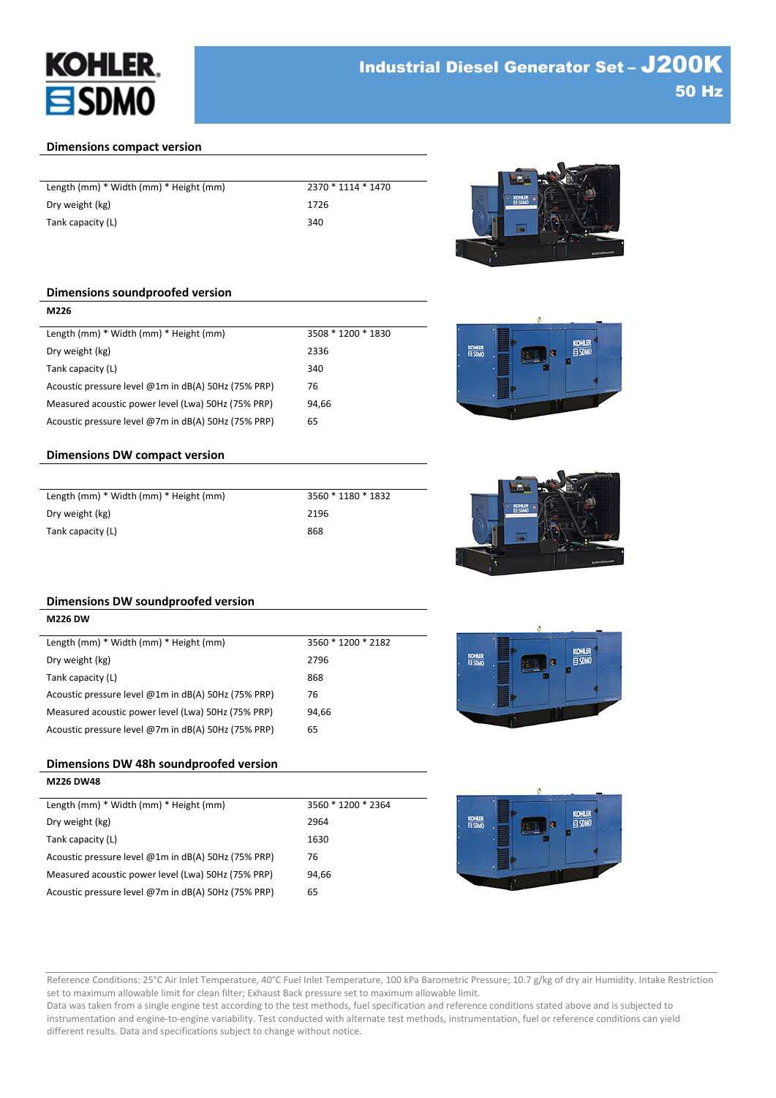

# **Dimensions compact version**

| Length (mm) * Width (mm) * Height (mm) | 2370 * 1114 * 1470 |
|----------------------------------------|--------------------|
| Dry weight (kg)                        | 1726               |
| Tank capacity (L)                      | 340                |



**KOHLE** 

# **Dimensions soundproofed version**

**M226**

| 3508 * 1200 * 1830 |
|--------------------|
| 2336               |
| 340                |
| 76                 |
| 94.66              |
| 65                 |
|                    |

# **Dimensions DW compact version**

| Length (mm) * Width (mm) * Height (mm) | 3560 * 1180 * 1832 |
|----------------------------------------|--------------------|
| Dry weight (kg)                        | 2196               |
| Tank capacity (L)                      | 868                |



# **Dimensions DW soundproofed version**

| <b>M226 DW</b>                                      |                    |
|-----------------------------------------------------|--------------------|
| Length (mm) * Width (mm) * Height (mm)              | 3560 * 1200 * 2182 |
| Dry weight (kg)                                     | 2796               |
| Tank capacity (L)                                   | 868                |
| Acoustic pressure level @1m in dB(A) 50Hz (75% PRP) | 76                 |
| Measured acoustic power level (Lwa) 50Hz (75% PRP)  | 94.66              |
| Acoustic pressure level @7m in dB(A) 50Hz (75% PRP) | 65                 |

# **Dimensions DW 48h soundproofed version**

**M226 DW48**

| Length (mm) * Width (mm) * Height (mm)              | 3560 * 1200 * 2364 |
|-----------------------------------------------------|--------------------|
| Dry weight (kg)                                     | 2964               |
| Tank capacity (L)                                   | 1630               |
| Acoustic pressure level @1m in dB(A) 50Hz (75% PRP) | 76                 |
| Measured acoustic power level (Lwa) 50Hz (75% PRP)  | 94.66              |
| Acoustic pressure level @7m in dB(A) 50Hz (75% PRP) | 65                 |





Reference Conditions: 25°C Air Inlet Temperature, 40°C Fuel Inlet Temperature, 100 kPa Barometric Pressure; 10.7 g/kg of dry air Humidity. Intake Restriction set to maximum allowable limit for clean filter; Exhaust Back pressure set to maximum allowable limit.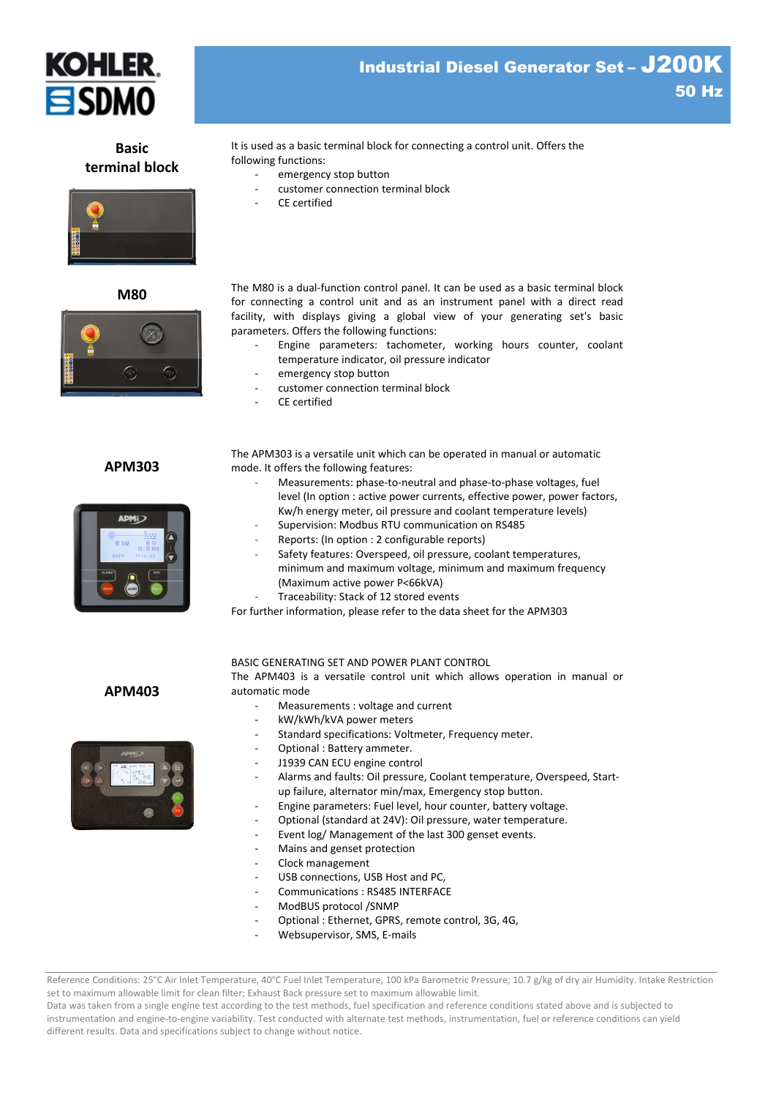

**Basic terminal block** It is used as a basic terminal block for connecting a control unit. Offers the following functions:

- emergency stop button
- customer connection terminal block
- CE certified

**M80** The M80 is a dual-function control panel. It can be used as a basic terminal block for connecting a control unit and as an instrument panel with a direct read facility, with displays giving a global view of your generating set's basic parameters. Offers the following functions:

- Engine parameters: tachometer, working hours counter, coolant temperature indicator, oil pressure indicator
- emergency stop button
- customer connection terminal block
- CE certified

**APM303**

 $\odot$ 



The APM303 is a versatile unit which can be operated in manual or automatic mode. It offers the following features:

- Measurements: phase-to-neutral and phase-to-phase voltages, fuel level (In option : active power currents, effective power, power factors, Kw/h energy meter, oil pressure and coolant temperature levels)
- Supervision: Modbus RTU communication on RS485
- Reports: (In option : 2 configurable reports)
- Safety features: Overspeed, oil pressure, coolant temperatures, minimum and maximum voltage, minimum and maximum frequency (Maximum active power P<66kVA)
	- Traceability: Stack of 12 stored events

For further information, please refer to the data sheet for the APM303

**APM403**



BASIC GENERATING SET AND POWER PLANT CONTROL

The APM403 is a versatile control unit which allows operation in manual or automatic mode

- Measurements : voltage and current
- kW/kWh/kVA power meters
- Standard specifications: Voltmeter, Frequency meter.
- Optional : Battery ammeter.
- J1939 CAN ECU engine control
- Alarms and faults: Oil pressure, Coolant temperature, Overspeed, Startup failure, alternator min/max, Emergency stop button.
- Engine parameters: Fuel level, hour counter, battery voltage.
- Optional (standard at 24V): Oil pressure, water temperature.
- Event log/ Management of the last 300 genset events.
- Mains and genset protection
- Clock management
- USB connections, USB Host and PC,
- Communications : RS485 INTERFACE
- ModBUS protocol /SNMP
- Optional : Ethernet, GPRS, remote control, 3G, 4G,
- Websupervisor, SMS, E-mails

Reference Conditions: 25°C Air Inlet Temperature, 40°C Fuel Inlet Temperature, 100 kPa Barometric Pressure; 10.7 g/kg of dry air Humidity. Intake Restriction set to maximum allowable limit for clean filter; Exhaust Back pressure set to maximum allowable limit.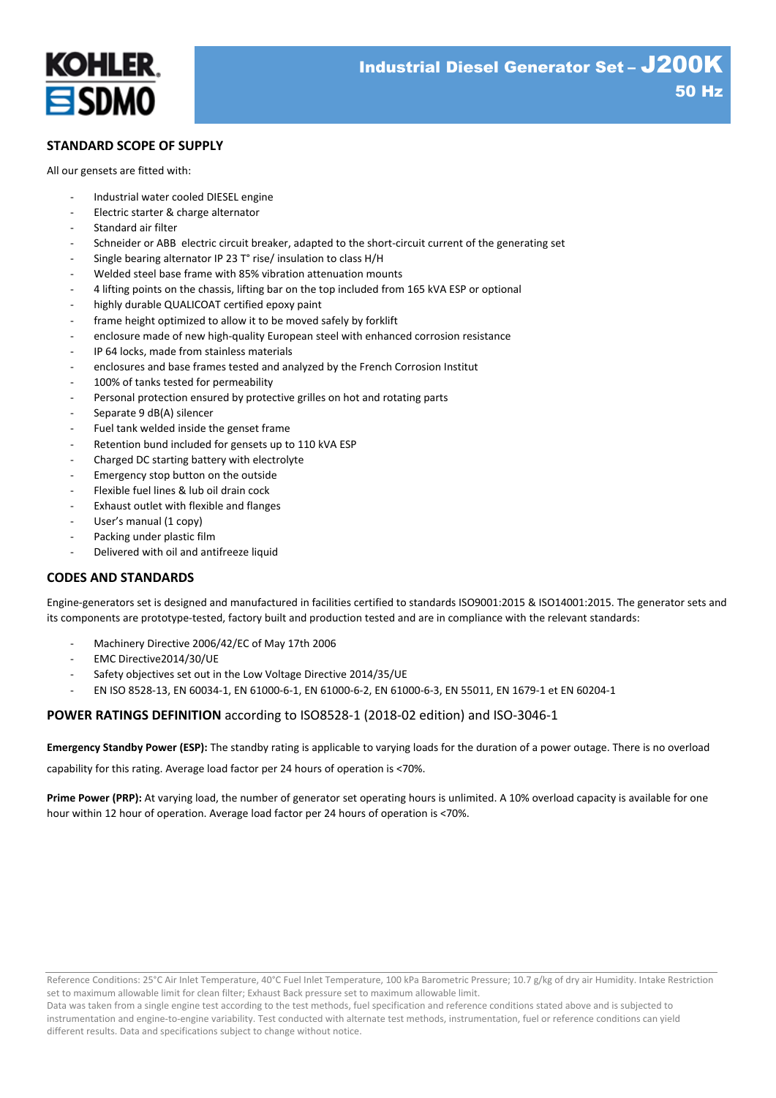

# **STANDARD SCOPE OF SUPPLY**

All our gensets are fitted with:

- Industrial water cooled DIESEL engine
- Electric starter & charge alternator
- Standard air filter
- Schneider or ABB electric circuit breaker, adapted to the short-circuit current of the generating set
- Single bearing alternator IP 23 T° rise/ insulation to class H/H
- Welded steel base frame with 85% vibration attenuation mounts
- 4 lifting points on the chassis, lifting bar on the top included from 165 kVA ESP or optional
- highly durable QUALICOAT certified epoxy paint
- frame height optimized to allow it to be moved safely by forklift
- enclosure made of new high-quality European steel with enhanced corrosion resistance
- IP 64 locks, made from stainless materials
- enclosures and base frames tested and analyzed by the French Corrosion Institut
- 100% of tanks tested for permeability
- Personal protection ensured by protective grilles on hot and rotating parts
- Separate 9 dB(A) silencer
- Fuel tank welded inside the genset frame
- Retention bund included for gensets up to 110 kVA ESP
- Charged DC starting battery with electrolyte
- Emergency stop button on the outside
- Flexible fuel lines & lub oil drain cock
- Exhaust outlet with flexible and flanges
- User's manual (1 copy)
- Packing under plastic film
- Delivered with oil and antifreeze liquid

# **CODES AND STANDARDS**

Engine-generators set is designed and manufactured in facilities certified to standards ISO9001:2015 & ISO14001:2015. The generator sets and its components are prototype-tested, factory built and production tested and are in compliance with the relevant standards:

- Machinery Directive 2006/42/EC of May 17th 2006
- EMC Directive2014/30/UE
- Safety objectives set out in the Low Voltage Directive 2014/35/UE
- EN ISO 8528-13, EN 60034-1, EN 61000-6-1, EN 61000-6-2, EN 61000-6-3, EN 55011, EN 1679-1 et EN 60204-1

# **POWER RATINGS DEFINITION** according to ISO8528-1 (2018-02 edition) and ISO-3046-1

**Emergency Standby Power (ESP):** The standby rating is applicable to varying loads for the duration of a power outage. There is no overload

capability for this rating. Average load factor per 24 hours of operation is <70%.

**Prime Power (PRP):** At varying load, the number of generator set operating hours is unlimited. A 10% overload capacity is available for one hour within 12 hour of operation. Average load factor per 24 hours of operation is <70%.